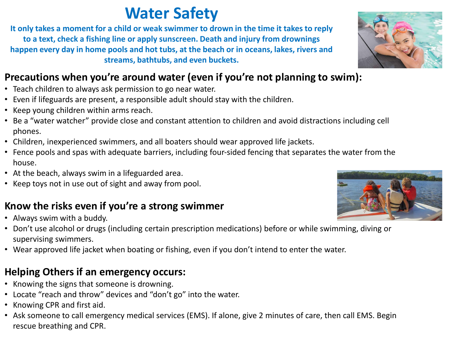## **Water Safety**

**It only takes a moment for a child or weak swimmer to drown in the time it takes to reply to a text, check a fishing line or apply sunscreen. Death and injury from drownings happen every day in home pools and hot tubs, at the beach or in oceans, lakes, rivers and streams, bathtubs, and even buckets.** 

### **Precautions when you're around water (even if you're not planning to swim):**

- Teach children to always ask permission to go near water.
- Even if lifeguards are present, a responsible adult should stay with the children.
- Keep young children within arms reach.
- Be a "water watcher" provide close and constant attention to children and avoid distractions including cell phones.
- Children, inexperienced swimmers, and all boaters should wear approved life jackets.
- Fence pools and spas with adequate barriers, including four-sided fencing that separates the water from the house.
- At the beach, always swim in a lifeguarded area.
- Keep toys not in use out of sight and away from pool.

#### **Know the risks even if you're a strong swimmer**

- Always swim with a buddy.
- Don't use alcohol or drugs (including certain prescription medications) before or while swimming, diving or supervising swimmers.
- Wear approved life jacket when boating or fishing, even if you don't intend to enter the water.

#### **Helping Others if an emergency occurs:**

- Knowing the signs that someone is drowning.
- Locate "reach and throw" devices and "don't go" into the water.
- Knowing CPR and first aid.
- Ask someone to call emergency medical services (EMS). If alone, give 2 minutes of care, then call EMS. Begin rescue breathing and CPR.



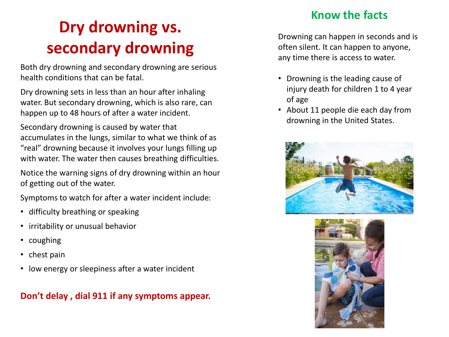# **Dry drowning vs. secondary drowning**

Both dry drowning and secondary drowning are serious health conditions that can be fatal.

Dry drowning sets in less than an hour after inhaling water. But secondary drowning, which is also rare, can happen up to 48 hours of after a water incident.

Secondary drowning is caused by water that accumulates in the lungs, similar to what we think of as "real" drowning because it involves your lungs filling up with water. The water then causes breathing difficulties.

Notice the warning signs of dry drowning within an hour of getting out of the water.

Symptoms to watch for after a water incident include:

- difficulty breathing or speaking
- irritability or unusual behavior
- coughing
- chest pain
- low energy or sleepiness after a water incident

#### **Don't delay , dial 911 if any symptoms appear.**

#### **Know the facts**

Drowning can happen in seconds and is often silent. It can happen to anyone, any time there is access to water.

- Drowning is the leading cause of injury death for children 1 to 4 year of age
- About 11 people die each day from drowning in the United States.